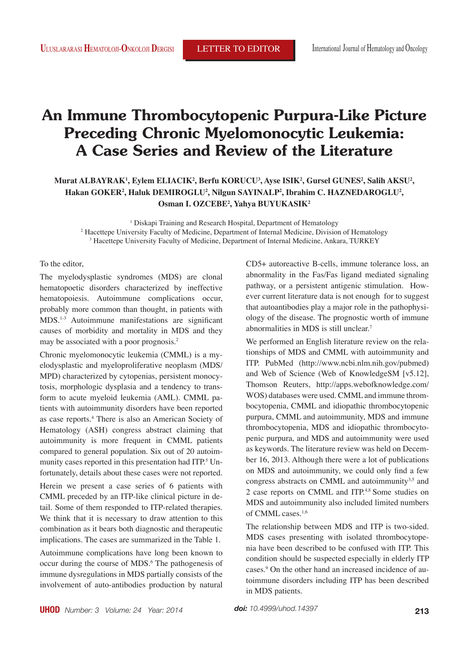# **An Immune Thrombocytopenic Purpura-Like Picture Preceding Chronic Myelomonocytic Leukemia: A Case Series and Review of the Literature**

## Murat ALBAYRAK<sup>1</sup>, Eylem ELIACIK<sup>2</sup>, Berfu KORUCU<sup>3</sup>, Ayse ISIK<sup>2</sup>, Gursel GUNES<sup>2</sup>, Salih AKSU<sup>2</sup>, Hakan GOKER<sup>2</sup>, Haluk DEMIROGLU<sup>2</sup>, Nilgun SAYINALP<sup>2</sup>, Ibrahim C. HAZNEDAROGLU<sup>2</sup>, **Osman I. OZCEBE2 , Yahya BUYUKASIK2**

<sup>1</sup> Diskapi Training and Research Hospital, Department of Hematology 2 Hacettepe University Faculty of Medicine, Department of Internal Medicine, Division of Hematology 3 Hacettepe University Faculty of Medicine, Department of Internal Medicine, Ankara, TURKEY

### To the editor,

The myelodysplastic syndromes (MDS) are clonal hematopoetic disorders characterized by ineffective hematopoiesis. Autoimmune complications occur, probably more common than thought, in patients with MDS.1-3 Autoimmune manifestations are significant causes of morbidity and mortality in MDS and they may be associated with a poor prognosis.2

Chronic myelomonocytic leukemia (CMML) is a myelodysplastic and myeloproliferative neoplasm (MDS/ MPD) characterized by cytopenias, persistent monocytosis, morphologic dysplasia and a tendency to transform to acute myeloid leukemia (AML). CMML patients with autoimmunity disorders have been reported as case reports.4 There is also an American Society of Hematology (ASH) congress abstract claiming that autoimmunity is more frequent in CMML patients compared to general population. Six out of 20 autoimmunity cases reported in this presentation had ITP.<sup>5</sup> Unfortunately, details about these cases were not reported.

Herein we present a case series of 6 patients with CMML preceded by an ITP-like clinical picture in detail. Some of them responded to ITP-related therapies. We think that it is necessary to draw attention to this combination as it bears both diagnostic and therapeutic implications. The cases are summarized in the Table 1.

Autoimmune complications have long been known to occur during the course of MDS.<sup>6</sup> The pathogenesis of immune dysregulations in MDS partially consists of the involvement of auto-antibodies production by natural

CD5+ autoreactive B-cells, immune tolerance loss, an abnormality in the Fas/Fas ligand mediated signaling pathway, or a persistent antigenic stimulation. However current literature data is not enough for to suggest that autoantibodies play a major role in the pathophysiology of the disease. The prognostic worth of immune abnormalities in MDS is still unclear.7

We performed an English literature review on the relationships of MDS and CMML with autoimmunity and ITP. PubMed (http://www.ncbi.nlm.nih.gov/pubmed) and Web of Science (Web of KnowledgeSM [v5.12], Thomson Reuters, http://apps.webofknowledge.com/ WOS) databases were used. CMML and immune thrombocytopenia, CMML and idiopathic thrombocytopenic purpura, CMML and autoimmunity, MDS and immune thrombocytopenia, MDS and idiopathic thrombocytopenic purpura, and MDS and autoimmunity were used as keywords. The literature review was held on December 16, 2013. Although there were a lot of publications on MDS and autoimmunity, we could only find a few congress abstracts on CMML and autoimmunity $3.5$  and 2 case reports on CMML and ITP.4,8 Some studies on MDS and autoimmunity also included limited numbers of CMML cases.1,6

The relationship between MDS and ITP is two-sided. MDS cases presenting with isolated thrombocytopenia have been described to be confused with ITP. This condition should be suspected especially in elderly ITP cases.9 On the other hand an increased incidence of autoimmune disorders including ITP has been described in MDS patients.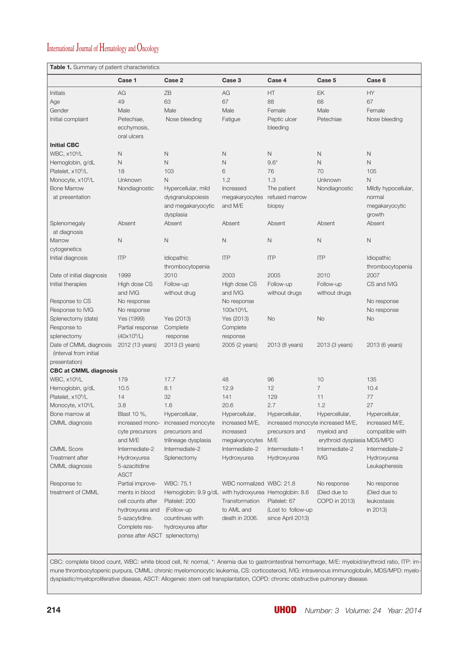# International Journal of Hematology and Oncology

**Table 1.** Summary of patient characteristics

|                               | Case 1                        | Case 2                                                | Case 3                   | Case 4                            | Case 5                      | Case 6               |
|-------------------------------|-------------------------------|-------------------------------------------------------|--------------------------|-----------------------------------|-----------------------------|----------------------|
| Initials                      | AG                            | ZB                                                    | AG                       | HT                                | EK                          | HY                   |
| Age                           | 49                            | 63                                                    | 67                       | 88                                | 68                          | 67                   |
| Gender                        | Male                          | Male                                                  | Male                     | Female                            | Male                        | Female               |
| Initial complaint             | Petechiae,                    | Nose bleeding                                         | Fatigue                  | Peptic ulcer                      | Petechiae                   | Nose bleeding        |
|                               | ecchymosis,                   |                                                       |                          | bleeding                          |                             |                      |
|                               | oral ulcers                   |                                                       |                          |                                   |                             |                      |
| <b>Initial CBC</b>            |                               |                                                       |                          |                                   |                             |                      |
| WBC, x10 <sup>9</sup> /L      | N                             | N                                                     | N                        | $\hbox{N}$                        | Ν                           | N                    |
| Hemoglobin, g/dL              | $\mathsf{N}$                  | $\mathsf{N}$                                          | $\hbox{N}$               | $9.6*$                            | N                           | $\mathsf{N}$         |
| Platelet, x10 <sup>9</sup> /L | 18                            | 103                                                   | 6                        | 76                                | 70                          | 105                  |
| Monocyte, x10 <sup>9</sup> /L | Unknown                       | N                                                     | 1.2                      | 1.3                               | Unknown                     | $\mathsf{N}$         |
| <b>Bone Marrow</b>            | Nondiagnostic                 | Hypercellular, mild                                   | Increased                | The patient                       | Nondiagnostic               | Mildly hypocellular, |
| at presentation               |                               | dysgranulopoiesis                                     | megakaryocytes           | refused marrow                    |                             | normal               |
|                               |                               | and megakaryocytic                                    | and M/E                  | biopsy                            |                             | megakaryocytic       |
|                               |                               | dysplasia                                             |                          |                                   |                             | growth               |
| Splenomegaly                  | Absent                        | Absent                                                | Absent                   | Absent                            | Absent                      | Absent               |
| at diagnosis                  |                               |                                                       |                          |                                   |                             |                      |
| Marrow                        | $\mathsf{N}$                  | $\mathsf{N}$                                          | $\hbox{N}$               | $\hbox{N}$                        | N                           | $\mathsf N$          |
| cytogenetics                  |                               |                                                       |                          |                                   |                             |                      |
| Initial diagnosis             | <b>ITP</b>                    | Idiopathic                                            | <b>ITP</b>               | <b>ITP</b>                        | <b>ITP</b>                  | Idiopathic           |
|                               |                               | thrombocytopenia                                      |                          |                                   |                             | thrombocytopenia     |
| Date of initial diagnosis     | 1999                          | 2010                                                  | 2003                     | 2005                              | 2010                        | 2007                 |
| Initial therapies             | High dose CS                  | Follow-up                                             | High dose CS             | Follow-up                         | Follow-up                   | CS and IVIG          |
|                               | and IVIG                      | without drug                                          | and IVIG                 | without drugs                     | without drugs               |                      |
| Response to CS                | No response                   |                                                       | No response              |                                   |                             | No response          |
| Response to IVIG              | No response                   |                                                       | 100x10 <sup>9</sup> /L   |                                   |                             | No response          |
| Splenectomy (date)            | Yes (1999)                    | Yes (2013)                                            | Yes (2013)               | No                                | No                          | No                   |
| Response to                   | Partial response              | Complete                                              | Complete                 |                                   |                             |                      |
| splenectomy                   | (40x10 <sup>9</sup> /L)       | response                                              | response                 |                                   |                             |                      |
| Date of CMML diagnosis        | 2012 (13 years)               | 2013 (3 years)                                        | 2005 (2 years)           | 2013 (8 years)                    | 2013 (3 years)              | 2013 (6 years)       |
| (interval from initial        |                               |                                                       |                          |                                   |                             |                      |
| presentation)                 |                               |                                                       |                          |                                   |                             |                      |
| <b>CBC at CMML diagnosis</b>  |                               |                                                       |                          |                                   |                             |                      |
| WBC, x10 <sup>9</sup> /L      | 179                           | 17.7                                                  | 48                       | 96                                | 10                          | 135                  |
| Hemoglobin, g/dL              | 10.5                          | 8.1                                                   | 12.9                     | 12                                | 7                           | 10.4                 |
| Platelet, x10 <sup>9</sup> /L | 14                            | 32                                                    | 141                      | 129                               | 11                          | 77                   |
| Monocyte, x10 <sup>9</sup> /L | 3.8                           | 1.6                                                   | 20.6                     | 2.7                               | 1.2                         | 27                   |
| Bone marrow at                | Blast 10 %,                   | Hypercellular,                                        | Hypercellular,           | Hypercellular,                    | Hypercellular,              | Hypercellular,       |
|                               |                               |                                                       | increased M/E,           |                                   |                             | increased M/E.       |
| <b>CMML</b> diagnosis         |                               | increased mono- increased monocyte                    |                          | increased monocyte increased M/E, | myeloid and                 | compatible with      |
|                               | cyte precursors               | precursors and                                        | increased                | precursors and<br>M/E             |                             |                      |
|                               | and M/E                       | trilineage dysplasia                                  | megakaryocytes           |                                   | erythroid dysplasia MDS/MPD |                      |
| <b>CMML Score</b>             | Intermediate-2                | Intermediate-2                                        | Intermediate-2           | Intermediate-1                    | Intermediate-2              | Intermediate-2       |
| Treatment after               | Hydroxyurea                   | Splenectomy                                           | Hydroxyurea              | Hydroxyurea                       | <b>IVIG</b>                 | Hydroxyurea          |
| CMML diagnosis                | 5-azacitidine                 |                                                       |                          |                                   |                             | Leukapheresis        |
|                               | <b>ASCT</b>                   |                                                       |                          |                                   |                             |                      |
| Response to                   | Partial improve-              | WBC: 75.1                                             | WBC normalized WBC: 21.8 |                                   | No response                 | No response          |
| treatment of CMML             | ments in blood                | Hemoglobin: 9.9 g/dL with hydroxyurea Hemoglobin: 8.6 |                          |                                   | (Died due to                | (Died due to         |
|                               | cell counts after             | Platelet: 200                                         | Transformation           | Platelet: 67                      | COPD in 2013)               | leukostasis          |
|                               | hydroxyurea and               | (Follow-up                                            | to AML and               | (Lost to follow-up                |                             | in 2013)             |
|                               | 5-azacytidine.                | countinues with                                       | death in 2006.           | since April 2013)                 |                             |                      |
|                               | Complete res-                 | hydroxyurea after                                     |                          |                                   |                             |                      |
|                               | ponse after ASCT splenectomy) |                                                       |                          |                                   |                             |                      |

CBC: complete blood count, WBC: white blood cell, N: normal, \*: Anemia due to gastrointestinal hemorrhage, M/E: myeloid/erythroid ratio, ITP: immune thrombocytopenic purpura, CMML: chronic myelomonocytic leukemia, CS: corticosteroid, IVIG: intravenous immunoglobulin, MDS/MPD: myelodysplastic/myeloproliferative disease, ASCT: Allogeneic stem cell transplantation, COPD: chronic obstructive pulmonary disease.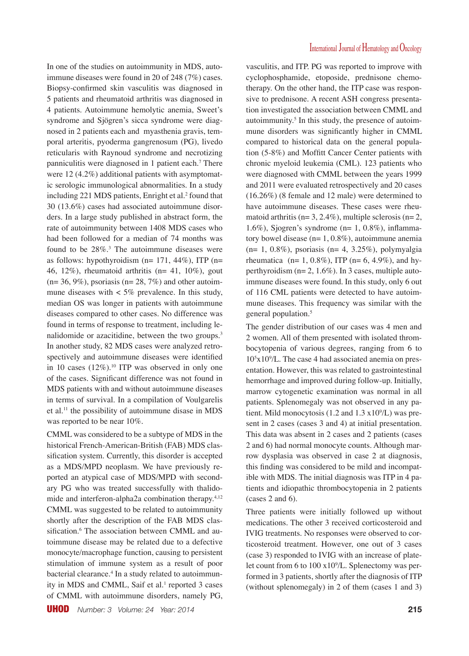In one of the studies on autoimmunity in MDS, autoimmune diseases were found in 20 of 248 (7%) cases. Biopsy-confirmed skin vasculitis was diagnosed in 5 patients and rheumatoid arthritis was diagnosed in 4 patients. Autoimmune hemolytic anemia, Sweet's syndrome and Sjögren's sicca syndrome were diagnosed in 2 patients each and myasthenia gravis, temporal arteritis, pyoderma gangrenosum (PG), livedo reticularis with Raynoud syndrome and necrotizing panniculitis were diagnosed in 1 patient each.7 There were 12 (4.2%) additional patients with asymptomatic serologic immunological abnormalities. In a study including 221 MDS patients, Enright et al.<sup>2</sup> found that 30 (13.6%) cases had associated autoimmune disorders. In a large study published in abstract form, the rate of autoimmunity between 1408 MDS cases who had been followed for a median of 74 months was found to be  $28\%$ <sup>3</sup>. The autoimmune diseases were as follows: hypothyroidism ( $n= 171, 44\%$ ), ITP ( $n=$ 46, 12%), rheumatoid arthritis ( $n= 41, 10\%$ ), gout  $(n= 36, 9\%)$ , psoriasis  $(n= 28, 7\%)$  and other autoimmune diseases with  $\lt$  5% prevalence. In this study, median OS was longer in patients with autoimmune diseases compared to other cases. No difference was found in terms of response to treatment, including lenalidomide or azacitidine, between the two groups.<sup>3</sup> In another study, 82 MDS cases were analyzed retrospectively and autoimmune diseases were identified in 10 cases  $(12\%)$ .<sup>10</sup> ITP was observed in only one of the cases. Significant difference was not found in MDS patients with and without autoimmune diseases in terms of survival. In a compilation of Voulgarelis et al.<sup>11</sup> the possibility of autoimmune disase in MDS was reported to be near 10%.

CMML was considered to be a subtype of MDS in the historical French-American-British (FAB) MDS classification system. Currently, this disorder is accepted as a MDS/MPD neoplasm. We have previously reported an atypical case of MDS/MPD with secondary PG who was treated successfully with thalidomide and interferon-alpha2a combination therapy.<sup>4,12</sup> CMML was suggested to be related to autoimmunity shortly after the description of the FAB MDS classification.<sup>6</sup> The association between CMML and autoimmune disease may be related due to a defective monocyte/macrophage function, causing to persistent stimulation of immune system as a result of poor bacterial clearance.4 In a study related to autoimmunity in MDS and CMML, Saif et al.<sup>1</sup> reported 3 cases of CMML with autoimmune disorders, namely PG,

vasculitis, and ITP. PG was reported to improve with cyclophosphamide, etoposide, prednisone chemotherapy. On the other hand, the ITP case was responsive to prednisone. A recent ASH congress presentation investigated the association between CMML and autoimmunity.<sup>5</sup> In this study, the presence of autoimmune disorders was significantly higher in CMML compared to historical data on the general population (5-8%) and Moffitt Cancer Center patients with chronic myeloid leukemia (CML). 123 patients who were diagnosed with CMML between the years 1999 and 2011 were evaluated retrospectively and 20 cases (16.26%) (8 female and 12 male) were determined to have autoimmune diseases. These cases were rheumatoid arthritis ( $n= 3, 2.4\%$ ), multiple sclerosis ( $n= 2$ , 1.6%), Sjogren's syndrome ( $n=1$ , 0.8%), inflammatory bowel disease (n= 1, 0.8%), autoimmune anemia (n= 1, 0.8%), psoriasis (n= 4, 3.25%), polymyalgia rheumatica (n= 1, 0.8%), ITP (n= 6, 4.9%), and hyperthyroidism (n= 2, 1.6%). In 3 cases, multiple autoimmune diseases were found. In this study, only 6 out of 116 CML patients were detected to have autoimmune diseases. This frequency was similar with the general population.<sup>5</sup>

The gender distribution of our cases was 4 men and 2 women. All of them presented with isolated thrombocytopenia of various degrees, ranging from 6 to  $10<sup>5</sup>x10<sup>9</sup>/L$ . The case 4 had associated anemia on presentation. However, this was related to gastrointestinal hemorrhage and improved during follow-up. Initially, marrow cytogenetic examination was normal in all patients. Splenomegaly was not observed in any patient. Mild monocytosis (1.2 and 1.3 x109 /L) was present in 2 cases (cases 3 and 4) at initial presentation. This data was absent in 2 cases and 2 patients (cases 2 and 6) had normal monocyte counts. Although marrow dysplasia was observed in case 2 at diagnosis, this finding was considered to be mild and incompatible with MDS. The initial diagnosis was ITP in 4 patients and idiopathic thrombocytopenia in 2 patients (cases 2 and 6).

Three patients were initially followed up without medications. The other 3 received corticosteroid and IVIG treatments. No responses were observed to corticosteroid treatment. However, one out of 3 cases (case 3) responded to IVIG with an increase of platelet count from 6 to 100 x109 /L. Splenectomy was performed in 3 patients, shortly after the diagnosis of ITP (without splenomegaly) in 2 of them (cases 1 and 3)